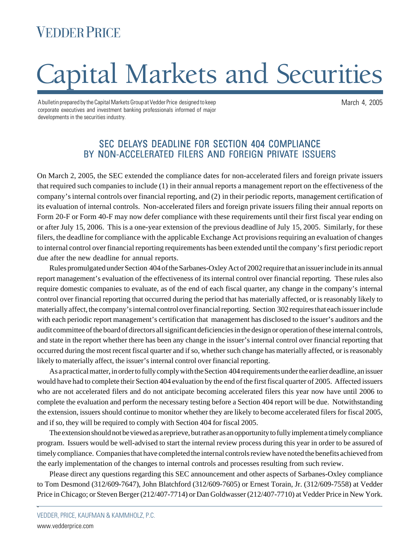## **VEDDER PRICE**

# Capital Markets and Securities

A bulletin prepared by the Capital Markets Group at Vedder Price designed to keep corporate executives and investment banking professionals informed of major developments in the securities industry.

> SEC DELAYS DEADLINE FOR SECTION 404 COMPLIANCE BY NON-ACCELERATED FILERS AND FOREIGN PRIVATE ISSUERS

On March 2, 2005, the SEC extended the compliance dates for non-accelerated filers and foreign private issuers that required such companies to include (1) in their annual reports a management report on the effectiveness of the company's internal controls over financial reporting, and (2) in their periodic reports, management certification of its evaluation of internal controls. Non-accelerated filers and foreign private issuers filing their annual reports on Form 20-F or Form 40-F may now defer compliance with these requirements until their first fiscal year ending on or after July 15, 2006. This is a one-year extension of the previous deadline of July 15, 2005. Similarly, for these filers, the deadline for compliance with the applicable Exchange Act provisions requiring an evaluation of changes to internal control over financial reporting requirements has been extended until the company's first periodic report due after the new deadline for annual reports.

Rules promulgated under Section 404 of the Sarbanes-Oxley Act of 2002 require that an issuer include in its annual report management's evaluation of the effectiveness of its internal control over financial reporting. These rules also require domestic companies to evaluate, as of the end of each fiscal quarter, any change in the company's internal control over financial reporting that occurred during the period that has materially affected, or is reasonably likely to materially affect, the company's internal control over financial reporting. Section 302 requires that each issuer include with each periodic report management's certification that management has disclosed to the issuer's auditors and the audit committee of the board of directors all significant deficiencies in the design or operation of these internal controls, and state in the report whether there has been any change in the issuer's internal control over financial reporting that occurred during the most recent fiscal quarter and if so, whether such change has materially affected, or is reasonably likely to materially affect, the issuer's internal control over financial reporting.

As a practical matter, in order to fully comply with the Section 404 requirements under the earlier deadline, an issuer would have had to complete their Section 404 evaluation by the end of the first fiscal quarter of 2005. Affected issuers who are not accelerated filers and do not anticipate becoming accelerated filers this year now have until 2006 to complete the evaluation and perform the necessary testing before a Section 404 report will be due. Notwithstanding the extension, issuers should continue to monitor whether they are likely to become accelerated filers for fiscal 2005, and if so, they will be required to comply with Section 404 for fiscal 2005.

The extension should not be viewed as a reprieve, but rather as an opportunity to fully implement a timely compliance program. Issuers would be well-advised to start the internal review process during this year in order to be assured of timely compliance. Companies that have completed the internal controls review have noted the benefits achieved from the early implementation of the changes to internal controls and processes resulting from such review.

Please direct any questions regarding this SEC announcement and other aspects of Sarbanes-Oxley compliance to Tom Desmond (312/609-7647), John Blatchford (312/609-7605) or Ernest Torain, Jr. (312/609-7558) at Vedder Price in Chicago; or Steven Berger (212/407-7714) or Dan Goldwasser (212/407-7710) at Vedder Price in New York.

.

March 4, 2005